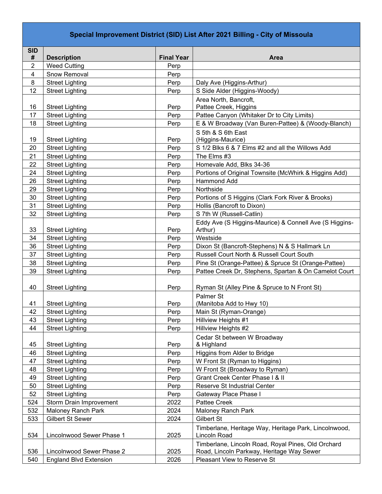## **Special Improvement District (SID) List After 2021 Billing - City of Missoula**

| <b>SID</b>              |                                                   |                   |                                                                                                 |
|-------------------------|---------------------------------------------------|-------------------|-------------------------------------------------------------------------------------------------|
| #                       | <b>Description</b>                                | <b>Final Year</b> | <b>Area</b>                                                                                     |
| $\overline{2}$          | <b>Weed Cutting</b>                               | Perp              |                                                                                                 |
| $\overline{\mathbf{4}}$ | Snow Removal                                      | Perp              |                                                                                                 |
| 8                       | <b>Street Lighting</b>                            | Perp              | Daly Ave (Higgins-Arthur)                                                                       |
| 12                      | <b>Street Lighting</b>                            | Perp              | S Side Alder (Higgins-Woody)                                                                    |
|                         |                                                   |                   | Area North, Bancroft,                                                                           |
| 16                      | <b>Street Lighting</b>                            | Perp              | Pattee Creek, Higgins                                                                           |
| 17                      | <b>Street Lighting</b>                            | Perp              | Pattee Canyon (Whitaker Dr to City Limits)                                                      |
| 18                      | <b>Street Lighting</b>                            | Perp              | E & W Broadway (Van Buren-Pattee) & (Woody-Blanch)                                              |
|                         |                                                   |                   | S 5th & S 6th East                                                                              |
| 19                      | <b>Street Lighting</b>                            | Perp              | (Higgins-Maurice)                                                                               |
| 20                      | <b>Street Lighting</b>                            | Perp              | S 1/2 Blks 6 & 7 Elms #2 and all the Willows Add                                                |
| 21                      | <b>Street Lighting</b>                            | Perp              | The Elms #3                                                                                     |
| 22                      | <b>Street Lighting</b>                            | Perp              | Homevale Add, Blks 34-36                                                                        |
| 24                      | <b>Street Lighting</b>                            | Perp              | Portions of Original Townsite (McWhirk & Higgins Add)                                           |
| 26                      | <b>Street Lighting</b>                            | Perp              | <b>Hammond Add</b>                                                                              |
| 29                      | <b>Street Lighting</b>                            | Perp              | Northside                                                                                       |
| 30                      | <b>Street Lighting</b>                            | Perp              | Portions of S Higgins (Clark Fork River & Brooks)                                               |
| 31                      | <b>Street Lighting</b>                            | Perp              | Hollis (Bancroft to Dixon)                                                                      |
| 32                      | <b>Street Lighting</b>                            | Perp              | S 7th W (Russell-Catlin)                                                                        |
|                         |                                                   |                   | Eddy Ave (S Higgins-Maurice) & Connell Ave (S Higgins-                                          |
| 33                      | <b>Street Lighting</b>                            | Perp              | Arthur)                                                                                         |
| 34                      | <b>Street Lighting</b>                            | Perp              | Westside                                                                                        |
| 36                      | <b>Street Lighting</b>                            | Perp              | Dixon St (Bancroft-Stephens) N & S Hallmark Ln                                                  |
| 37                      | <b>Street Lighting</b>                            | Perp              | Russell Court North & Russell Court South                                                       |
| 38                      | <b>Street Lighting</b>                            | Perp              | Pine St (Orange-Pattee) & Spruce St (Orange-Pattee)                                             |
| 39                      | <b>Street Lighting</b>                            | Perp              | Pattee Creek Dr, Stephens, Spartan & On Camelot Court                                           |
|                         |                                                   |                   |                                                                                                 |
| 40                      | <b>Street Lighting</b>                            | Perp              | Ryman St (Alley Pine & Spruce to N Front St)                                                    |
|                         |                                                   |                   | Palmer St                                                                                       |
| 41                      | <b>Street Lighting</b>                            | Perp              | (Manitoba Add to Hwy 10)                                                                        |
| 42<br>43                | <b>Street Lighting</b>                            | Perp              | Main St (Ryman-Orange)                                                                          |
| 44                      | <b>Street Lighting</b>                            | Perp              | Hillview Heights #1<br>Hillview Heights #2                                                      |
|                         | <b>Street Lighting</b>                            | Perp              |                                                                                                 |
| 45                      | <b>Street Lighting</b>                            | Perp              | Cedar St between W Broadway                                                                     |
| 46                      | <b>Street Lighting</b>                            | Perp              | & Highland<br>Higgins from Alder to Bridge                                                      |
| 47                      | <b>Street Lighting</b>                            | Perp              | W Front St (Ryman to Higgins)                                                                   |
| 48                      | <b>Street Lighting</b>                            | Perp              | W Front St (Broadway to Ryman)                                                                  |
| 49                      | <b>Street Lighting</b>                            | Perp              | Grant Creek Center Phase I & II                                                                 |
| 50                      | <b>Street Lighting</b>                            | Perp              | Reserve St Industrial Center                                                                    |
|                         |                                                   |                   |                                                                                                 |
| 52<br>524               | <b>Street Lighting</b><br>Storm Drain Improvement | Perp<br>2022      | Gateway Place Phase I<br>Pattee Creek                                                           |
|                         |                                                   |                   |                                                                                                 |
| 532                     | <b>Maloney Ranch Park</b>                         | 2024              | Maloney Ranch Park                                                                              |
| 533                     | Gilbert St Sewer                                  | 2024              | <b>Gilbert St</b>                                                                               |
| 534                     |                                                   |                   | Timberlane, Heritage Way, Heritage Park, Lincolnwood,                                           |
|                         | Lincolnwood Sewer Phase 1                         | 2025              | Lincoln Road                                                                                    |
| 536                     | Lincolnwood Sewer Phase 2                         | 2025              | Timberlane, Lincoln Road, Royal Pines, Old Orchard<br>Road, Lincoln Parkway, Heritage Way Sewer |
| 540                     |                                                   |                   |                                                                                                 |
|                         | <b>England Blvd Extension</b>                     | 2026              | Pleasant View to Reserve St                                                                     |